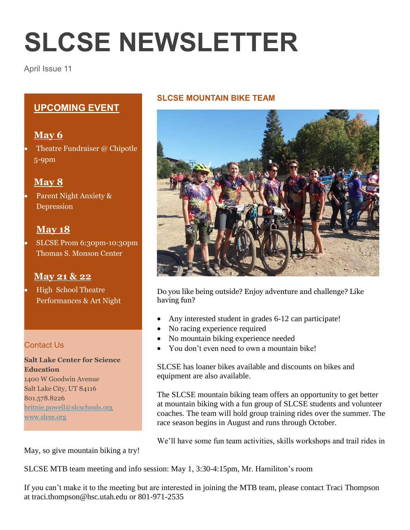# **SLCSE NEWSLETTER**

April Issue 11

# **UPCOMING EVENT**

## **May 6**

 Theatre Fundraiser @ Chipotle 5-9pm

## **May 8**

 Parent Night Anxiety & Depression

# **May 18**

 SLCSE Prom 6:30pm-10:30pm Thomas S. Monson Center

## **May 21 & 22**

 High School Theatre Performances & Art Night

### Contact Us

**Salt Lake Center for Science Education** 1400 W Goodwin Avenue Salt Lake City, UT 84116 801.578.8226 [britnie.powell@slcschools.org](mailto:britnie.powell@slcschools.org) [www.slcse.org](http://www.slcse.org/)

#### **SLCSE MOUNTAIN BIKE TEAM**



Do you like being outside? Enjoy adventure and challenge? Like having fun?

- Any interested student in grades 6-12 can participate!
- No racing experience required
- No mountain biking experience needed
- You don't even need to own a mountain bike!

SLCSE has loaner bikes available and discounts on bikes and equipment are also available.

The SLCSE mountain biking team offers an opportunity to get better at mountain biking with a fun group of SLCSE students and volunteer coaches. The team will hold group training rides over the summer. The race season begins in August and runs through October.

We'll have some fun team activities, skills workshops and trail rides in

May, so give mountain biking a try!

SLCSE MTB team meeting and info session: May 1, 3:30-4:15pm, Mr. Hamiliton's room

If you can't make it to the meeting but are interested in joining the MTB team, please contact Traci Thompson at traci.thompson@hsc.utah.edu or 801-971-2535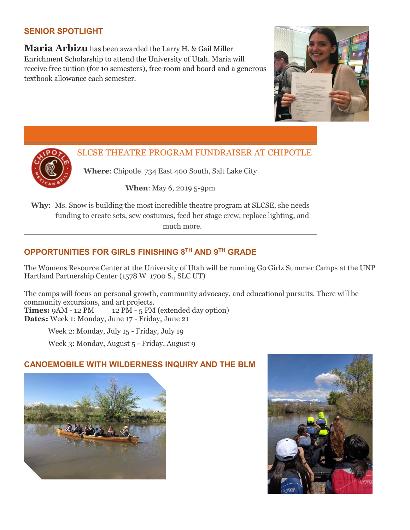#### **SENIOR SPOTLIGHT**

**Maria Arbizu** has been awarded the Larry H. & Gail Miller Enrichment Scholarship to attend the University of Utah. Maria will receive free tuition (for 10 semesters), free room and board and a generous textbook allowance each semester.





SLCSE THEATRE PROGRAM FUNDRAISER AT CHIPOTLE

**Where**: Chipotle 734 East 400 South, Salt Lake City

**When**: May 6, 2019 5-9pm

**Why**: Ms. Snow is building the most incredible theatre program at SLCSE, she needs funding to create sets, sew costumes, feed her stage crew, replace lighting, and much more.

### **OPPORTUNITIES FOR GIRLS FINISHING 8 TH AND 9 TH GRADE**

The Womens Resource Center at the University of Utah will be running Go Girlz Summer Camps at the UNP Hartland Partnership Center (1578 W 1700 S., SLC UT)

The camps will focus on personal growth, community advocacy, and educational pursuits. There will be community excursions, and art projects. **Times:**  $9AM - 12 PM$  12  $PM - 5 PM$  (extended day option) **Dates:** Week 1: Monday, June 17 - Friday, June 21

Week 2: Monday, July 15 - Friday, July 19

Week 3: Monday, August 5 - Friday, August 9

#### **CANOEMOBILE WITH WILDERNESS INQUIRY AND THE BLM**